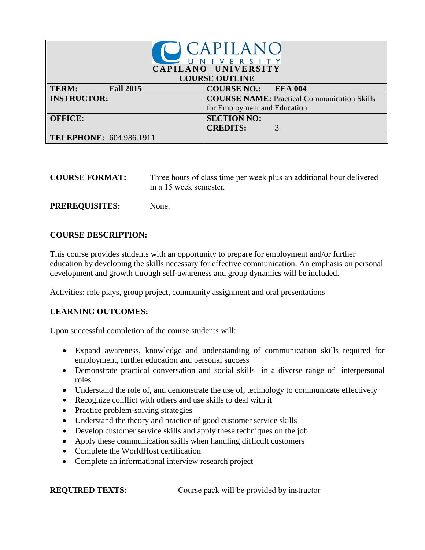| <b>CAPILANC</b><br>NIVERSITY<br>CAPILANO UNIVERSITY<br><b>COURSE OUTLINE</b> |                                                                                    |  |  |
|------------------------------------------------------------------------------|------------------------------------------------------------------------------------|--|--|
| TERM:<br><b>Fall 2015</b>                                                    | <b>COURSE NO.: EEA 004</b>                                                         |  |  |
| <b>INSTRUCTOR:</b>                                                           | <b>COURSE NAME:</b> Practical Communication Skills<br>for Employment and Education |  |  |
| <b>OFFICE:</b>                                                               | <b>SECTION NO:</b><br><b>CREDITS:</b><br>3                                         |  |  |
| <b>TELEPHONE: 604.986.1911</b>                                               |                                                                                    |  |  |

| <b>COURSE FORMAT:</b> | Three hours of class time per week plus an additional hour delivered<br>in a 15 week semester. |
|-----------------------|------------------------------------------------------------------------------------------------|
|                       |                                                                                                |

## **COURSE DESCRIPTION:**

**PREREQUISITES:** None.

This course provides students with an opportunity to prepare for employment and/or further education by developing the skills necessary for effective communication. An emphasis on personal development and growth through self-awareness and group dynamics will be included.

Activities: role plays, group project, community assignment and oral presentations

#### **LEARNING OUTCOMES:**

Upon successful completion of the course students will:

- Expand awareness, knowledge and understanding of communication skills required for employment, further education and personal success
- Demonstrate practical conversation and social skills in a diverse range of interpersonal roles
- Understand the role of, and demonstrate the use of, technology to communicate effectively
- Recognize conflict with others and use skills to deal with it
- Practice problem-solving strategies
- Understand the theory and practice of good customer service skills
- Develop customer service skills and apply these techniques on the job
- Apply these communication skills when handling difficult customers
- Complete the WorldHost certification
- Complete an informational interview research project

**REQUIRED TEXTS:** Course pack will be provided by instructor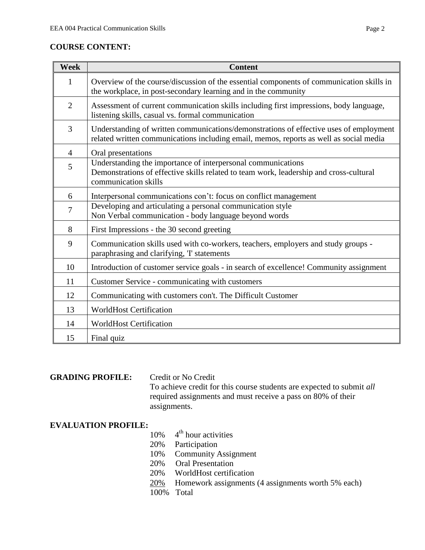| Week           | <b>Content</b>                                                                                                                                                                   |
|----------------|----------------------------------------------------------------------------------------------------------------------------------------------------------------------------------|
| 1              | Overview of the course/discussion of the essential components of communication skills in<br>the workplace, in post-secondary learning and in the community                       |
| $\overline{2}$ | Assessment of current communication skills including first impressions, body language,<br>listening skills, casual vs. formal communication                                      |
| 3              | Understanding of written communications/demonstrations of effective uses of employment<br>related written communications including email, memos, reports as well as social media |
| $\overline{4}$ | Oral presentations                                                                                                                                                               |
| 5              | Understanding the importance of interpersonal communications<br>Demonstrations of effective skills related to team work, leadership and cross-cultural<br>communication skills   |
| 6              | Interpersonal communications con't: focus on conflict management                                                                                                                 |
| 7              | Developing and articulating a personal communication style<br>Non Verbal communication - body language beyond words                                                              |
| 8              | First Impressions - the 30 second greeting                                                                                                                                       |
| 9              | Communication skills used with co-workers, teachers, employers and study groups -<br>paraphrasing and clarifying, T statements                                                   |
| 10             | Introduction of customer service goals - in search of excellence! Community assignment                                                                                           |
| 11             | Customer Service - communicating with customers                                                                                                                                  |
| 12             | Communicating with customers con't. The Difficult Customer                                                                                                                       |
| 13             | <b>WorldHost Certification</b>                                                                                                                                                   |
| 14             | <b>WorldHost Certification</b>                                                                                                                                                   |
| 15             | Final quiz                                                                                                                                                                       |

### **GRADING PROFILE:** Credit or No Credit

To achieve credit for this course students are expected to submit *all*  required assignments and must receive a pass on 80% of their assignments.

## **EVALUATION PROFILE:**

- 10% 4  $4<sup>th</sup>$  hour activities
- 20% Participation
- 10% Community Assignment
- 20% Oral Presentation
- 20% WorldHost certification
- 20% Homework assignments (4 assignments worth 5% each)
- 100% Total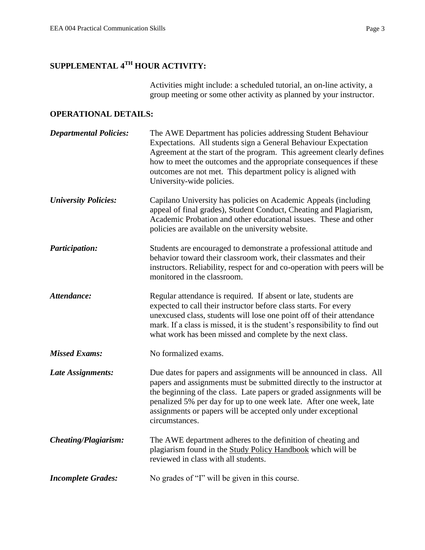# **SUPPLEMENTAL 4TH HOUR ACTIVITY:**

Activities might include: a scheduled tutorial, an on-line activity, a group meeting or some other activity as planned by your instructor.

## **OPERATIONAL DETAILS:**

| <b>Departmental Policies:</b> | The AWE Department has policies addressing Student Behaviour<br>Expectations. All students sign a General Behaviour Expectation<br>Agreement at the start of the program. This agreement clearly defines<br>how to meet the outcomes and the appropriate consequences if these<br>outcomes are not met. This department policy is aligned with<br>University-wide policies.      |
|-------------------------------|----------------------------------------------------------------------------------------------------------------------------------------------------------------------------------------------------------------------------------------------------------------------------------------------------------------------------------------------------------------------------------|
| <b>University Policies:</b>   | Capilano University has policies on Academic Appeals (including<br>appeal of final grades), Student Conduct, Cheating and Plagiarism,<br>Academic Probation and other educational issues. These and other<br>policies are available on the university website.                                                                                                                   |
| <b>Participation:</b>         | Students are encouraged to demonstrate a professional attitude and<br>behavior toward their classroom work, their classmates and their<br>instructors. Reliability, respect for and co-operation with peers will be<br>monitored in the classroom.                                                                                                                               |
| Attendance:                   | Regular attendance is required. If absent or late, students are<br>expected to call their instructor before class starts. For every<br>unexcused class, students will lose one point off of their attendance<br>mark. If a class is missed, it is the student's responsibility to find out<br>what work has been missed and complete by the next class.                          |
| <b>Missed Exams:</b>          | No formalized exams.                                                                                                                                                                                                                                                                                                                                                             |
| Late Assignments:             | Due dates for papers and assignments will be announced in class. All<br>papers and assignments must be submitted directly to the instructor at<br>the beginning of the class. Late papers or graded assignments will be<br>penalized 5% per day for up to one week late. After one week, late<br>assignments or papers will be accepted only under exceptional<br>circumstances. |
| <b>Cheating/Plagiarism:</b>   | The AWE department adheres to the definition of cheating and<br>plagiarism found in the Study Policy Handbook which will be<br>reviewed in class with all students.                                                                                                                                                                                                              |
| <b>Incomplete Grades:</b>     | No grades of "I" will be given in this course.                                                                                                                                                                                                                                                                                                                                   |